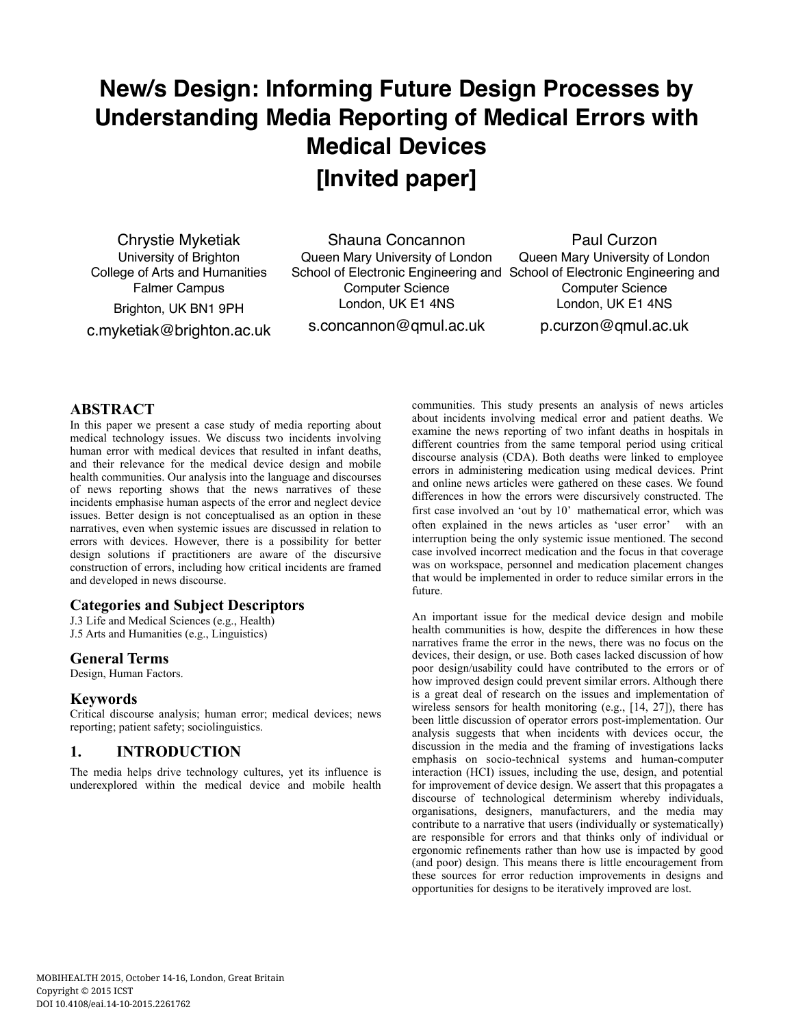# **New/s Design: Informing Future Design Processes by Understanding Media Reporting of Medical Errors with Medical Devices [Invited paper]**

Chrystie Myketiak University of Brighton College of Arts and Humanities Falmer Campus Brighton, UK BN1 9PH

Shauna Concannon Queen Mary University of London School of Electronic Engineering and School of Electronic Engineering and Computer Science London, UK E1 4NS s.concannon@qmul.ac.uk

Paul Curzon Queen Mary University of London Computer Science London, UK E1 4NS p.curzon@qmul.ac.uk

c.myketiak@brighton.ac.uk

#### **ABSTRACT**

In this paper we present a case study of media reporting about medical technology issues. We discuss two incidents involving human error with medical devices that resulted in infant deaths, and their relevance for the medical device design and mobile health communities. Our analysis into the language and discourses of news reporting shows that the news narratives of these incidents emphasise human aspects of the error and neglect device issues. Better design is not conceptualised as an option in these narratives, even when systemic issues are discussed in relation to errors with devices. However, there is a possibility for better design solutions if practitioners are aware of the discursive construction of errors, including how critical incidents are framed and developed in news discourse.

## **Categories and Subject Descriptors**

J.3 Life and Medical Sciences (e.g., Health) J.5 Arts and Humanities (e.g., Linguistics)

# **General Terms**

Design, Human Factors.

## **Keywords**

Critical discourse analysis; human error; medical devices; news reporting; patient safety; sociolinguistics.

# **1. INTRODUCTION**

The media helps drive technology cultures, yet its influence is underexplored within the medical device and mobile health communities. This study presents an analysis of news articles about incidents involving medical error and patient deaths. We examine the news reporting of two infant deaths in hospitals in different countries from the same temporal period using critical discourse analysis (CDA). Both deaths were linked to employee errors in administering medication using medical devices. Print and online news articles were gathered on these cases. We found differences in how the errors were discursively constructed. The first case involved an 'out by 10' mathematical error, which was often explained in the news articles as 'user error' with an interruption being the only systemic issue mentioned. The second case involved incorrect medication and the focus in that coverage was on workspace, personnel and medication placement changes that would be implemented in order to reduce similar errors in the future.

An important issue for the medical device design and mobile health communities is how, despite the differences in how these narratives frame the error in the news, there was no focus on the devices, their design, or use. Both cases lacked discussion of how poor design/usability could have contributed to the errors or of how improved design could prevent similar errors. Although there is a great deal of research on the issues and implementation of wireless sensors for health monitoring (e.g., [14, 27]), there has been little discussion of operator errors post-implementation. Our analysis suggests that when incidents with devices occur, the discussion in the media and the framing of investigations lacks emphasis on socio-technical systems and human-computer interaction (HCI) issues, including the use, design, and potential for improvement of device design. We assert that this propagates a discourse of technological determinism whereby individuals, organisations, designers, manufacturers, and the media may contribute to a narrative that users (individually or systematically) are responsible for errors and that thinks only of individual or ergonomic refinements rather than how use is impacted by good (and poor) design. This means there is little encouragement from these sources for error reduction improvements in designs and opportunities for designs to be iteratively improved are lost.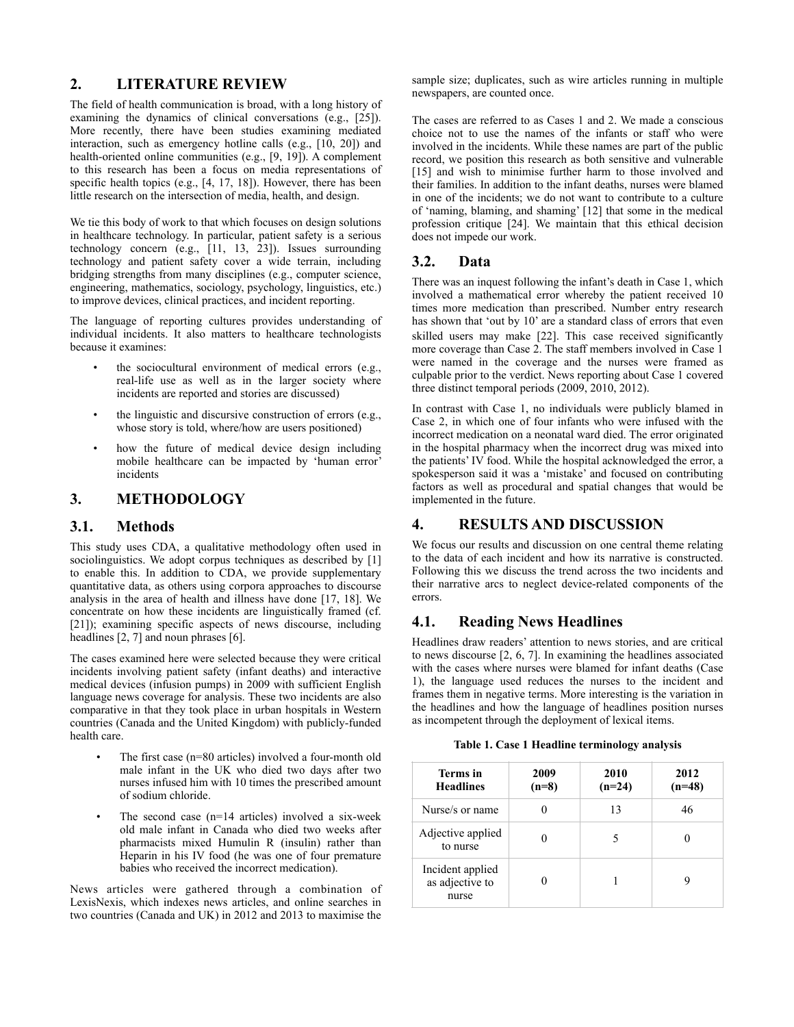#### **2. LITERATURE REVIEW**

The field of health communication is broad, with a long history of examining the dynamics of clinical conversations (e.g., [25]). More recently, there have been studies examining mediated interaction, such as emergency hotline calls (e.g., [10, 20]) and health-oriented online communities (e.g., [9, 19]). A complement to this research has been a focus on media representations of specific health topics (e.g., [4, 17, 18]). However, there has been little research on the intersection of media, health, and design.

We tie this body of work to that which focuses on design solutions in healthcare technology. In particular, patient safety is a serious technology concern (e.g., [11, 13, 23]). Issues surrounding technology and patient safety cover a wide terrain, including bridging strengths from many disciplines (e.g., computer science, engineering, mathematics, sociology, psychology, linguistics, etc.) to improve devices, clinical practices, and incident reporting.

The language of reporting cultures provides understanding of individual incidents. It also matters to healthcare technologists because it examines:

- the sociocultural environment of medical errors (e.g., real-life use as well as in the larger society where incidents are reported and stories are discussed)
- the linguistic and discursive construction of errors (e.g., whose story is told, where/how are users positioned)
- how the future of medical device design including mobile healthcare can be impacted by 'human error' incidents

# **3. METHODOLOGY**

## **3.1. Methods**

This study uses CDA, a qualitative methodology often used in sociolinguistics. We adopt corpus techniques as described by [1] to enable this. In addition to CDA, we provide supplementary quantitative data, as others using corpora approaches to discourse analysis in the area of health and illness have done [17, 18]. We concentrate on how these incidents are linguistically framed (cf. [21]); examining specific aspects of news discourse, including headlines [2, 7] and noun phrases [6].

The cases examined here were selected because they were critical incidents involving patient safety (infant deaths) and interactive medical devices (infusion pumps) in 2009 with sufficient English language news coverage for analysis. These two incidents are also comparative in that they took place in urban hospitals in Western countries (Canada and the United Kingdom) with publicly-funded health care.

- The first case (n=80 articles) involved a four-month old male infant in the UK who died two days after two nurses infused him with 10 times the prescribed amount of sodium chloride.
- The second case  $(n=14 \text{ articles})$  involved a six-week old male infant in Canada who died two weeks after pharmacists mixed Humulin R (insulin) rather than Heparin in his IV food (he was one of four premature babies who received the incorrect medication).

News articles were gathered through a combination of LexisNexis, which indexes news articles, and online searches in two countries (Canada and UK) in 2012 and 2013 to maximise the

sample size; duplicates, such as wire articles running in multiple newspapers, are counted once.

The cases are referred to as Cases 1 and 2. We made a conscious choice not to use the names of the infants or staff who were involved in the incidents. While these names are part of the public record, we position this research as both sensitive and vulnerable [15] and wish to minimise further harm to those involved and their families. In addition to the infant deaths, nurses were blamed in one of the incidents; we do not want to contribute to a culture of 'naming, blaming, and shaming' [12] that some in the medical profession critique [24]. We maintain that this ethical decision does not impede our work.

#### **3.2. Data**

There was an inquest following the infant's death in Case 1, which involved a mathematical error whereby the patient received 10 times more medication than prescribed. Number entry research has shown that 'out by 10' are a standard class of errors that even skilled users may make [22]. This case received significantly more coverage than Case 2. The staff members involved in Case 1 were named in the coverage and the nurses were framed as culpable prior to the verdict. News reporting about Case 1 covered three distinct temporal periods (2009, 2010, 2012).

In contrast with Case 1, no individuals were publicly blamed in Case 2, in which one of four infants who were infused with the incorrect medication on a neonatal ward died. The error originated in the hospital pharmacy when the incorrect drug was mixed into the patients' IV food. While the hospital acknowledged the error, a spokesperson said it was a 'mistake' and focused on contributing factors as well as procedural and spatial changes that would be implemented in the future.

# **4. RESULTS AND DISCUSSION**

We focus our results and discussion on one central theme relating to the data of each incident and how its narrative is constructed. Following this we discuss the trend across the two incidents and their narrative arcs to neglect device-related components of the errors.

## **4.1. Reading News Headlines**

Headlines draw readers' attention to news stories, and are critical to news discourse [2, 6, 7]. In examining the headlines associated with the cases where nurses were blamed for infant deaths (Case 1), the language used reduces the nurses to the incident and frames them in negative terms. More interesting is the variation in the headlines and how the language of headlines position nurses as incompetent through the deployment of lexical items.

| Table 1. Case 1 Headline terminology analysis |  |  |  |  |  |
|-----------------------------------------------|--|--|--|--|--|
|-----------------------------------------------|--|--|--|--|--|

| Terms in<br><b>Headlines</b>                 | 2009<br>$(n=8)$ | 2010<br>$(n=24)$ | 2012<br>$(n=48)$ |
|----------------------------------------------|-----------------|------------------|------------------|
| Nurse/s or name                              |                 | 13               | 46               |
| Adjective applied<br>to nurse                |                 |                  |                  |
| Incident applied<br>as adjective to<br>nurse |                 |                  |                  |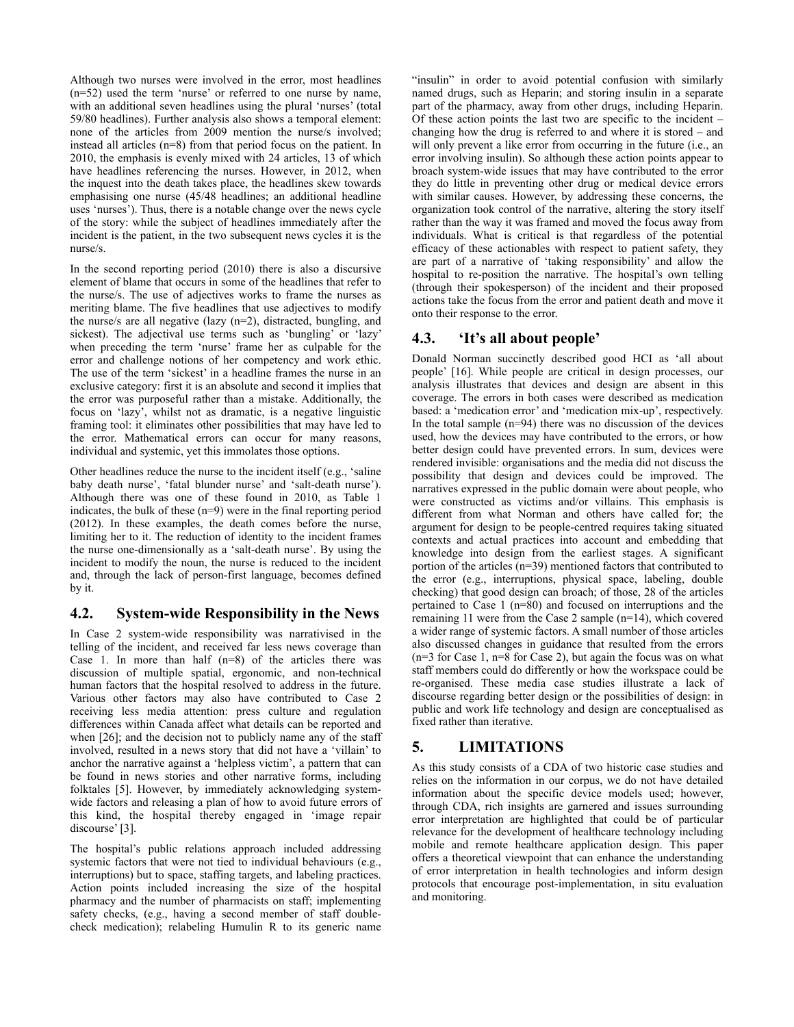Although two nurses were involved in the error, most headlines (n=52) used the term 'nurse' or referred to one nurse by name, with an additional seven headlines using the plural 'nurses' (total 59/80 headlines). Further analysis also shows a temporal element: none of the articles from 2009 mention the nurse/s involved; instead all articles (n=8) from that period focus on the patient. In 2010, the emphasis is evenly mixed with 24 articles, 13 of which have headlines referencing the nurses. However, in 2012, when the inquest into the death takes place, the headlines skew towards emphasising one nurse (45/48 headlines; an additional headline uses 'nurses'). Thus, there is a notable change over the news cycle of the story: while the subject of headlines immediately after the incident is the patient, in the two subsequent news cycles it is the nurse/s.

In the second reporting period (2010) there is also a discursive element of blame that occurs in some of the headlines that refer to the nurse/s. The use of adjectives works to frame the nurses as meriting blame. The five headlines that use adjectives to modify the nurse/s are all negative (lazy (n=2), distracted, bungling, and sickest). The adjectival use terms such as 'bungling' or 'lazy' when preceding the term 'nurse' frame her as culpable for the error and challenge notions of her competency and work ethic. The use of the term 'sickest' in a headline frames the nurse in an exclusive category: first it is an absolute and second it implies that the error was purposeful rather than a mistake. Additionally, the focus on 'lazy', whilst not as dramatic, is a negative linguistic framing tool: it eliminates other possibilities that may have led to the error. Mathematical errors can occur for many reasons, individual and systemic, yet this immolates those options.

Other headlines reduce the nurse to the incident itself (e.g., 'saline baby death nurse', 'fatal blunder nurse' and 'salt-death nurse'). Although there was one of these found in 2010, as Table 1 indicates, the bulk of these (n=9) were in the final reporting period (2012). In these examples, the death comes before the nurse, limiting her to it. The reduction of identity to the incident frames the nurse one-dimensionally as a 'salt-death nurse'. By using the incident to modify the noun, the nurse is reduced to the incident and, through the lack of person-first language, becomes defined by it.

## **4.2. System-wide Responsibility in the News**

In Case 2 system-wide responsibility was narrativised in the telling of the incident, and received far less news coverage than Case 1. In more than half  $(n=8)$  of the articles there was discussion of multiple spatial, ergonomic, and non-technical human factors that the hospital resolved to address in the future. Various other factors may also have contributed to Case 2 receiving less media attention: press culture and regulation differences within Canada affect what details can be reported and when [26]; and the decision not to publicly name any of the staff involved, resulted in a news story that did not have a 'villain' to anchor the narrative against a 'helpless victim', a pattern that can be found in news stories and other narrative forms, including folktales [5]. However, by immediately acknowledging systemwide factors and releasing a plan of how to avoid future errors of this kind, the hospital thereby engaged in 'image repair discourse' [3].

The hospital's public relations approach included addressing systemic factors that were not tied to individual behaviours (e.g., interruptions) but to space, staffing targets, and labeling practices. Action points included increasing the size of the hospital pharmacy and the number of pharmacists on staff; implementing safety checks, (e.g., having a second member of staff doublecheck medication); relabeling Humulin R to its generic name

"insulin" in order to avoid potential confusion with similarly named drugs, such as Heparin; and storing insulin in a separate part of the pharmacy, away from other drugs, including Heparin. Of these action points the last two are specific to the incident – changing how the drug is referred to and where it is stored – and will only prevent a like error from occurring in the future (i.e., an error involving insulin). So although these action points appear to broach system-wide issues that may have contributed to the error they do little in preventing other drug or medical device errors with similar causes. However, by addressing these concerns, the organization took control of the narrative, altering the story itself rather than the way it was framed and moved the focus away from individuals. What is critical is that regardless of the potential efficacy of these actionables with respect to patient safety, they are part of a narrative of 'taking responsibility' and allow the hospital to re-position the narrative. The hospital's own telling (through their spokesperson) of the incident and their proposed actions take the focus from the error and patient death and move it onto their response to the error.

## **4.3. 'It's all about people'**

Donald Norman succinctly described good HCI as 'all about people' [16]. While people are critical in design processes, our analysis illustrates that devices and design are absent in this coverage. The errors in both cases were described as medication based: a 'medication error' and 'medication mix-up', respectively. In the total sample  $(n=94)$  there was no discussion of the devices used, how the devices may have contributed to the errors, or how better design could have prevented errors. In sum, devices were rendered invisible: organisations and the media did not discuss the possibility that design and devices could be improved. The narratives expressed in the public domain were about people, who were constructed as victims and/or villains. This emphasis is different from what Norman and others have called for; the argument for design to be people-centred requires taking situated contexts and actual practices into account and embedding that knowledge into design from the earliest stages. A significant portion of the articles (n=39) mentioned factors that contributed to the error (e.g., interruptions, physical space, labeling, double checking) that good design can broach; of those, 28 of the articles pertained to Case 1 (n=80) and focused on interruptions and the remaining 11 were from the Case 2 sample (n=14), which covered a wider range of systemic factors. A small number of those articles also discussed changes in guidance that resulted from the errors (n=3 for Case 1, n=8 for Case 2), but again the focus was on what staff members could do differently or how the workspace could be re-organised. These media case studies illustrate a lack of discourse regarding better design or the possibilities of design: in public and work life technology and design are conceptualised as fixed rather than iterative.

# **5. LIMITATIONS**

As this study consists of a CDA of two historic case studies and relies on the information in our corpus, we do not have detailed information about the specific device models used; however, through CDA, rich insights are garnered and issues surrounding error interpretation are highlighted that could be of particular relevance for the development of healthcare technology including mobile and remote healthcare application design. This paper offers a theoretical viewpoint that can enhance the understanding of error interpretation in health technologies and inform design protocols that encourage post-implementation, in situ evaluation and monitoring.